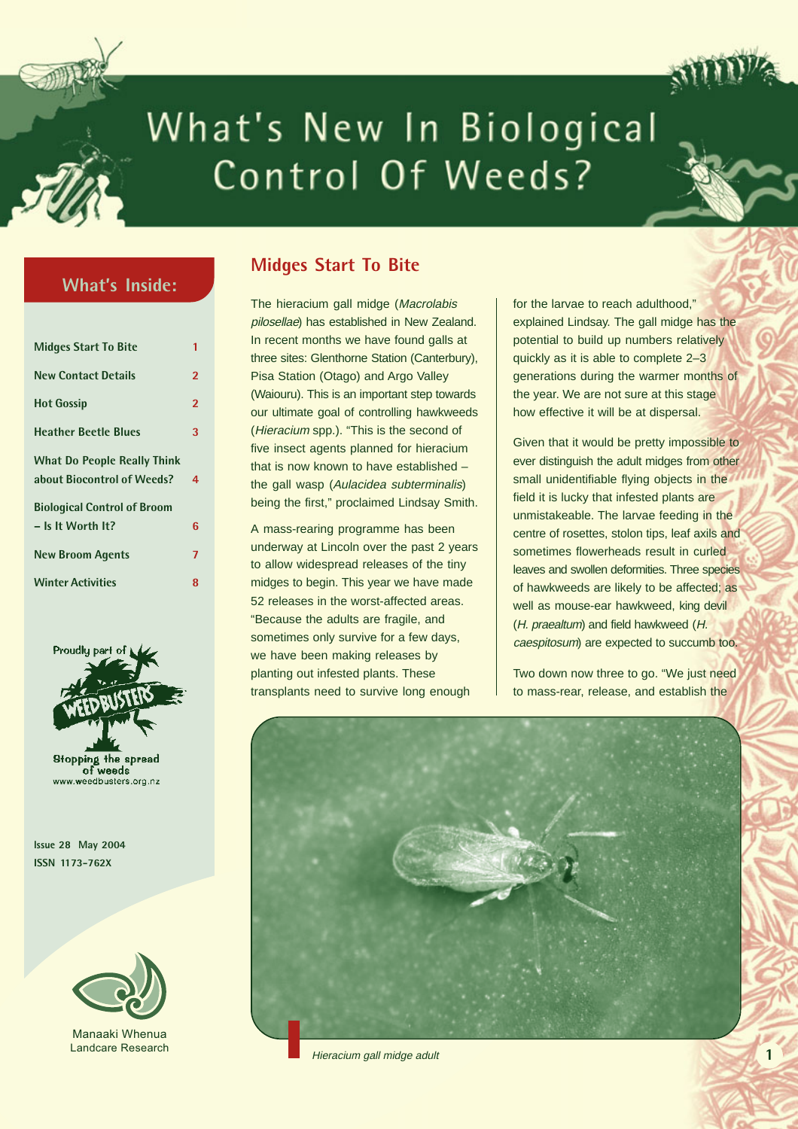

# What's New In Biological Control Of Weeds?

## **What's Inside:**

| <b>Midges Start To Bite</b>        | 1              |
|------------------------------------|----------------|
| <b>New Contact Details</b>         | $\overline{2}$ |
| <b>Hot Gossip</b>                  | $\overline{2}$ |
| <b>Heather Beetle Blues</b>        | 3              |
| <b>What Do People Really Think</b> |                |
| about Biocontrol of Weeds?         | 4              |
| <b>Biological Control of Broom</b> |                |
| $-$ Is It Worth It?                | 6              |
| <b>New Broom Agents</b>            | $\overline{7}$ |
| <b>Winter Activities</b>           | 8              |



of weeds www.weedbusters.org.nz

**Issue 28 May 2004 ISSN 1173-762X**



Manaaki Whenua Landcare Resea

## **Midges Start To Bite**

The hieracium gall midge (Macrolabis pilosellae) has established in New Zealand. In recent months we have found galls at three sites: Glenthorne Station (Canterbury), Pisa Station (Otago) and Argo Valley (Waiouru). This is an important step towards our ultimate goal of controlling hawkweeds (Hieracium spp.). "This is the second of five insect agents planned for hieracium that is now known to have established – the gall wasp (Aulacidea subterminalis) being the first," proclaimed Lindsay Smith.

A mass-rearing programme has been underway at Lincoln over the past 2 years to allow widespread releases of the tiny midges to begin. This year we have made 52 releases in the worst-affected areas. "Because the adults are fragile, and sometimes only survive for a few days, we have been making releases by planting out infested plants. These transplants need to survive long enough

for the larvae to reach adulthood," explained Lindsay. The gall midge has the potential to build up numbers relatively quickly as it is able to complete 2–3 generations during the warmer months of the year. We are not sure at this stage how effective it will be at dispersal.

Given that it would be pretty impossible to ever distinguish the adult midges from other small unidentifiable flying objects in the field it is lucky that infested plants are unmistakeable. The larvae feeding in the centre of rosettes, stolon tips, leaf axils and sometimes flowerheads result in curled leaves and swollen deformities. Three species of hawkweeds are likely to be affected; as well as mouse-ear hawkweed, king devil (H. praealtum) and field hawkweed (H. caespitosum) are expected to succumb too.

Two down now three to go. "We just need to mass-rear, release, and establish the



Hieracium gall midge adult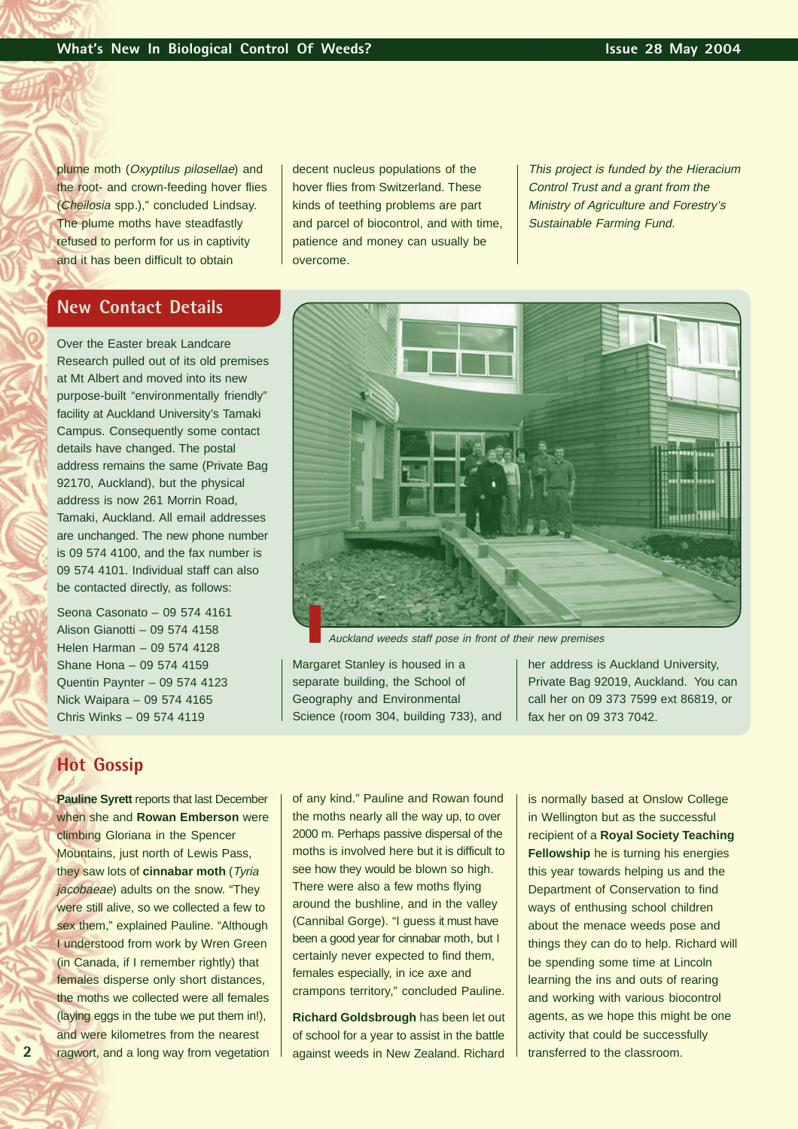plume moth (Oxyptilus pilosellae) and the root- and crown-feeding hover flies (Cheilosia spp.)," concluded Lindsay. The plume moths have steadfastly refused to perform for us in captivity and it has been difficult to obtain

decent nucleus populations of the hover flies from Switzerland. These kinds of teething problems are part and parcel of biocontrol, and with time, patience and money can usually be overcome.

This project is funded by the Hieracium Control Trust and a grant from the Ministry of Agriculture and Forestry's Sustainable Farming Fund.

## **New Contact Details**

Over the Easter break Landcare Research pulled out of its old premises at Mt Albert and moved into its new purpose-built "environmentally friendly" facility at Auckland University's Tamaki Campus. Consequently some contact details have changed. The postal address remains the same (Private Bag 92170, Auckland), but the physical address is now 261 Morrin Road, Tamaki, Auckland. All email addresses are unchanged. The new phone number is 09 574 4100, and the fax number is 09 574 4101. Individual staff can also be contacted directly, as follows:

Seona Casonato – 09 574 4161 Alison Gianotti – 09 574 4158 Helen Harman – 09 574 4128 Shane Hona – 09 574 4159 Quentin Paynter – 09 574 4123 Nick Waipara – 09 574 4165 Chris Winks – 09 574 4119

## **Hot Gossip**

**Pauline Syrett** reports that last December when she and **Rowan Emberson** were climbing Gloriana in the Spencer Mountains, just north of Lewis Pass, they saw lots of **cinnabar moth** (Tyria jacobaeae) adults on the snow. "They were still alive, so we collected a few to sex them," explained Pauline. "Although I understood from work by Wren Green (in Canada, if I remember rightly) that females disperse only short distances, the moths we collected were all females (laying eggs in the tube we put them in!), and were kilometres from the nearest ragwort, and a long way from vegetation



Auckland weeds staff pose in front of their new premises

Margaret Stanley is housed in a separate building, the School of Geography and Environmental Science (room 304, building 733), and her address is Auckland University, Private Bag 92019, Auckland. You can call her on 09 373 7599 ext 86819, or fax her on 09 373 7042.

of any kind." Pauline and Rowan found the moths nearly all the way up, to over 2000 m. Perhaps passive dispersal of the moths is involved here but it is difficult to see how they would be blown so high. There were also a few moths flying around the bushline, and in the valley (Cannibal Gorge). "I guess it must have been a good year for cinnabar moth, but I certainly never expected to find them, females especially, in ice axe and crampons territory," concluded Pauline.

**Richard Goldsbrough** has been let out of school for a year to assist in the battle against weeds in New Zealand. Richard

is normally based at Onslow College in Wellington but as the successful recipient of a **Royal Society Teaching Fellowship** he is turning his energies this year towards helping us and the Department of Conservation to find ways of enthusing school children about the menace weeds pose and things they can do to help. Richard will be spending some time at Lincoln learning the ins and outs of rearing and working with various biocontrol agents, as we hope this might be one activity that could be successfully transferred to the classroom.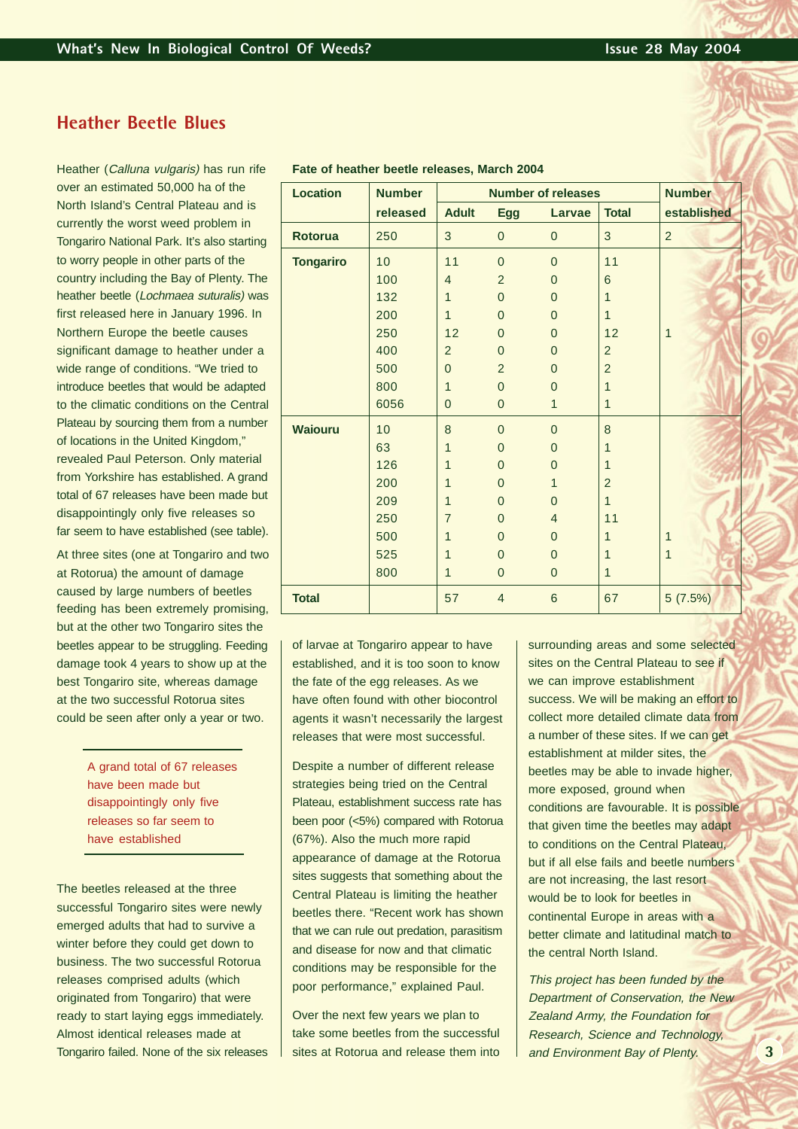## **Heather Beetle Blues**

Heather (Calluna vulgaris) has run rife over an estimated 50,000 ha of the North Island's Central Plateau and is currently the worst weed problem in Tongariro National Park. It's also starting to worry people in other parts of the country including the Bay of Plenty. The heather beetle (Lochmaea suturalis) was first released here in January 1996. In Northern Europe the beetle causes significant damage to heather under a wide range of conditions. "We tried to introduce beetles that would be adapted to the climatic conditions on the Central Plateau by sourcing them from a number of locations in the United Kingdom," revealed Paul Peterson. Only material from Yorkshire has established. A grand total of 67 releases have been made but disappointingly only five releases so far seem to have established (see table).

At three sites (one at Tongariro and two at Rotorua) the amount of damage caused by large numbers of beetles feeding has been extremely promising, but at the other two Tongariro sites the beetles appear to be struggling. Feeding damage took 4 years to show up at the best Tongariro site, whereas damage at the two successful Rotorua sites could be seen after only a year or two.

> A grand total of 67 releases have been made but disappointingly only five releases so far seem to have established

The beetles released at the three successful Tongariro sites were newly emerged adults that had to survive a winter before they could get down to business. The two successful Rotorua releases comprised adults (which originated from Tongariro) that were ready to start laying eggs immediately. Almost identical releases made at Tongariro failed. None of the six releases

| <b>Location</b>  | <b>Number</b> | <b>Number of releases</b> |                |                         |                | <b>Number</b> |
|------------------|---------------|---------------------------|----------------|-------------------------|----------------|---------------|
|                  | released      | <b>Adult</b>              | <b>Egg</b>     | <b>Larvae</b>           | <b>Total</b>   | established   |
| <b>Rotorua</b>   | 250           | 3                         | $\pmb{0}$      | $\mathbf{0}$            | 3              | 2             |
| <b>Tongariro</b> | 10            | 11                        | $\overline{0}$ | $\overline{0}$          | 11             |               |
|                  | 100           | $\overline{4}$            | $\overline{2}$ | $\overline{0}$          | 6              |               |
|                  | 132           | 1                         | $\overline{0}$ | $\Omega$                | 1              |               |
|                  | 200           | 1                         | $\overline{0}$ | $\overline{0}$          | $\mathbf{1}$   |               |
|                  | 250           | 12                        | $\mathbf{0}$   | $\Omega$                | 12             | $\mathbf{1}$  |
|                  | 400           | $\overline{2}$            | $\mathbf{0}$   | $\overline{0}$          | $\overline{2}$ |               |
|                  | 500           | $\overline{0}$            | $\overline{2}$ | $\overline{0}$          | $\overline{2}$ |               |
|                  | 800           | $\mathbf{1}$              | $\mathbf{0}$   | $\overline{0}$          | $\mathbf{1}$   |               |
|                  | 6056          | $\overline{0}$            | $\pmb{0}$      | $\mathbf{1}$            | $\mathbf{1}$   |               |
| <b>Waiouru</b>   | 10            | 8                         | $\overline{0}$ | $\overline{0}$          | 8              |               |
|                  | 63            | 1                         | $\mathbf{0}$   | $\overline{0}$          | $\mathbf{1}$   |               |
|                  | 126           | 1                         | $\mathbf{0}$   | $\overline{0}$          | $\mathbf{1}$   |               |
|                  | 200           | 1                         | $\mathbf 0$    | 1                       | $\overline{2}$ |               |
|                  | 209           | $\mathbf{1}$              | $\mathbf{0}$   | $\Omega$                | $\mathbf{1}$   |               |
|                  | 250           | $\overline{7}$            | $\mathbf 0$    | $\overline{\mathbf{4}}$ | 11             |               |
|                  | 500           | 1                         | $\overline{0}$ | $\overline{0}$          | 1              | $\mathbf{1}$  |
|                  | 525           | 1                         | $\overline{0}$ | $\overline{0}$          | 1              | $\mathbf{1}$  |
|                  | 800           | 1                         | $\mathbf{0}$   | $\mathbf{0}$            | $\mathbf{1}$   |               |
| <b>Total</b>     |               | 57                        | $\overline{4}$ | $6\phantom{1}6$         | 67             | 5(7.5%)       |

#### **Fate of heather beetle releases, March 2004**

of larvae at Tongariro appear to have established, and it is too soon to know the fate of the egg releases. As we have often found with other biocontrol agents it wasn't necessarily the largest releases that were most successful.

Despite a number of different release strategies being tried on the Central Plateau, establishment success rate has been poor (<5%) compared with Rotorua (67%). Also the much more rapid appearance of damage at the Rotorua sites suggests that something about the Central Plateau is limiting the heather beetles there. "Recent work has shown that we can rule out predation, parasitism and disease for now and that climatic conditions may be responsible for the poor performance," explained Paul.

Over the next few years we plan to take some beetles from the successful sites at Rotorua and release them into

surrounding areas and some selected sites on the Central Plateau to see if we can improve establishment success. We will be making an effort to collect more detailed climate data from a number of these sites. If we can get establishment at milder sites, the beetles may be able to invade higher, more exposed, ground when conditions are favourable. It is possible that given time the beetles may adapt to conditions on the Central Plateau, but if all else fails and beetle numbers are not increasing, the last resort would be to look for beetles in continental Europe in areas with a better climate and latitudinal match to the central North Island.

This project has been funded by the Department of Conservation, the New Zealand Army, the Foundation for Research, Science and Technology, and Environment Bay of Plenty.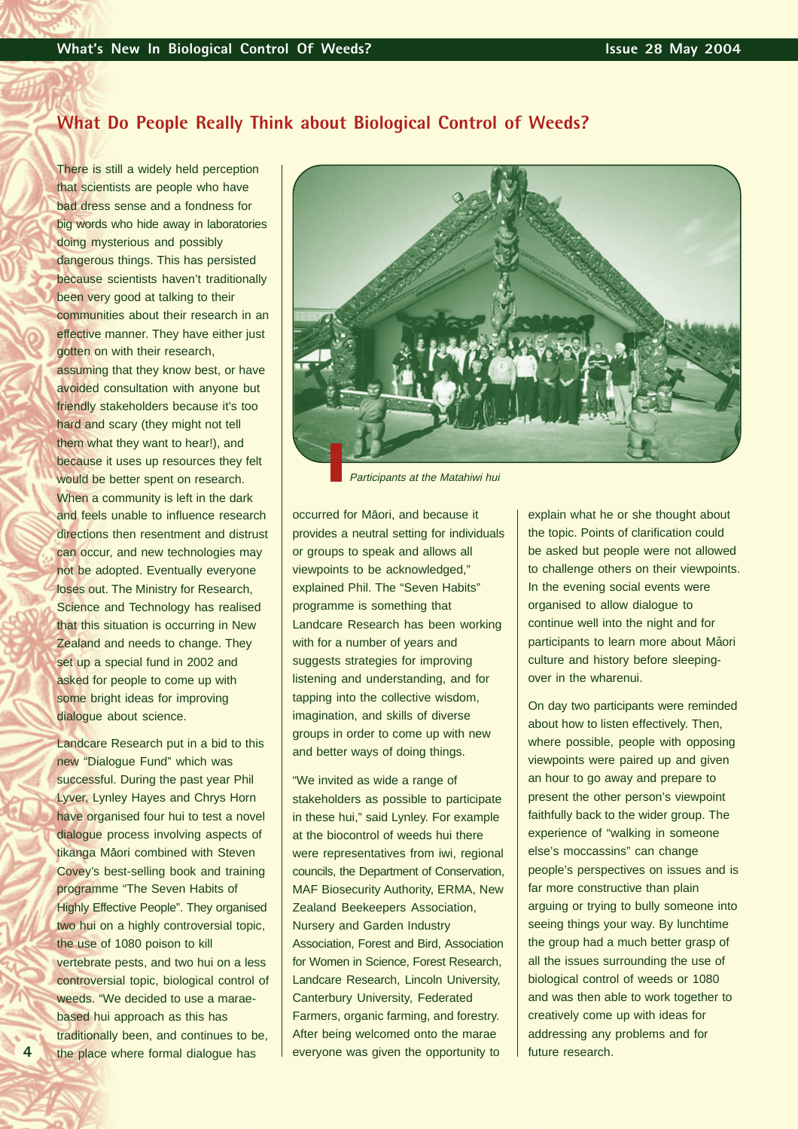## **What Do People Really Think about Biological Control of Weeds?**

There is still a widely held perception that scientists are people who have bad dress sense and a fondness for big words who hide away in laboratories doing mysterious and possibly dangerous things. This has persisted because scientists haven't traditionally been very good at talking to their communities about their research in an effective manner. They have either just gotten on with their research, assuming that they know best, or have avoided consultation with anyone but friendly stakeholders because it's too hard and scary (they might not tell them what they want to hear!), and because it uses up resources they felt would be better spent on research. When a community is left in the dark and feels unable to influence research directions then resentment and distrust can occur, and new technologies may not be adopted. Eventually everyone loses out. The Ministry for Research, Science and Technology has realised that this situation is occurring in New Zealand and needs to change. They set up a special fund in 2002 and asked for people to come up with some bright ideas for improving dialogue about science.

Landcare Research put in a bid to this new "Dialogue Fund" which was successful. During the past year Phil Lyver, Lynley Hayes and Chrys Horn have organised four hui to test a novel dialogue process involving aspects of tikanga Māori combined with Steven Covey's best-selling book and training programme "The Seven Habits of Highly Effective People". They organised two hui on a highly controversial topic, the use of 1080 poison to kill vertebrate pests, and two hui on a less controversial topic, biological control of weeds. "We decided to use a maraebased hui approach as this has traditionally been, and continues to be, the place where formal dialogue has

**4**



Participants at the Matahiwi hui

occurred for Maori, and because it provides a neutral setting for individuals or groups to speak and allows all viewpoints to be acknowledged," explained Phil. The "Seven Habits" programme is something that Landcare Research has been working with for a number of years and suggests strategies for improving listening and understanding, and for tapping into the collective wisdom, imagination, and skills of diverse groups in order to come up with new and better ways of doing things.

"We invited as wide a range of stakeholders as possible to participate in these hui," said Lynley. For example at the biocontrol of weeds hui there were representatives from iwi, regional councils, the Department of Conservation, MAF Biosecurity Authority, ERMA, New Zealand Beekeepers Association, Nursery and Garden Industry Association, Forest and Bird, Association for Women in Science, Forest Research, Landcare Research, Lincoln University, Canterbury University, Federated Farmers, organic farming, and forestry. After being welcomed onto the marae everyone was given the opportunity to

explain what he or she thought about the topic. Points of clarification could be asked but people were not allowed to challenge others on their viewpoints. In the evening social events were organised to allow dialogue to continue well into the night and for participants to learn more about Māori culture and history before sleepingover in the wharenui.

On day two participants were reminded about how to listen effectively. Then, where possible, people with opposing viewpoints were paired up and given an hour to go away and prepare to present the other person's viewpoint faithfully back to the wider group. The experience of "walking in someone else's moccassins" can change people's perspectives on issues and is far more constructive than plain arguing or trying to bully someone into seeing things your way. By lunchtime the group had a much better grasp of all the issues surrounding the use of biological control of weeds or 1080 and was then able to work together to creatively come up with ideas for addressing any problems and for future research.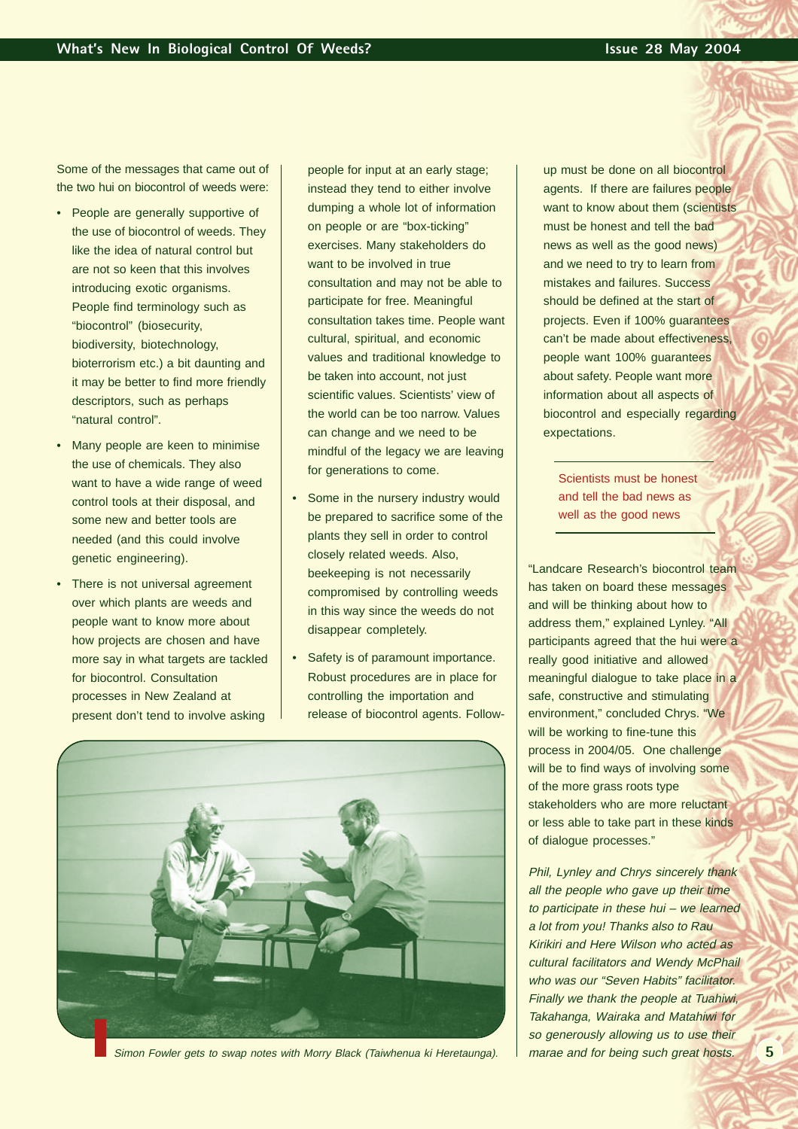Some of the messages that came out of the two hui on biocontrol of weeds were:

- People are generally supportive of the use of biocontrol of weeds. They like the idea of natural control but are not so keen that this involves introducing exotic organisms. People find terminology such as "biocontrol" (biosecurity, biodiversity, biotechnology, bioterrorism etc.) a bit daunting and it may be better to find more friendly descriptors, such as perhaps "natural control".
- Many people are keen to minimise the use of chemicals. They also want to have a wide range of weed control tools at their disposal, and some new and better tools are needed (and this could involve genetic engineering).
- There is not universal agreement over which plants are weeds and people want to know more about how projects are chosen and have more say in what targets are tackled for biocontrol. Consultation processes in New Zealand at present don't tend to involve asking

people for input at an early stage; instead they tend to either involve dumping a whole lot of information on people or are "box-ticking" exercises. Many stakeholders do want to be involved in true consultation and may not be able to participate for free. Meaningful consultation takes time. People want cultural, spiritual, and economic values and traditional knowledge to be taken into account, not just scientific values. Scientists' view of the world can be too narrow. Values can change and we need to be mindful of the legacy we are leaving for generations to come.

- Some in the nursery industry would be prepared to sacrifice some of the plants they sell in order to control closely related weeds. Also, beekeeping is not necessarily compromised by controlling weeds in this way since the weeds do not disappear completely.
- Safety is of paramount importance. Robust procedures are in place for controlling the importation and release of biocontrol agents. Follow-



Simon Fowler gets to swap notes with Morry Black (Taiwhenua ki Heretaunga). marae and for being such great hosts.

up must be done on all biocontrol agents. If there are failures people want to know about them (scientists must be honest and tell the bad news as well as the good news) and we need to try to learn from mistakes and failures. Success should be defined at the start of projects. Even if 100% guarantees can't be made about effectiveness, people want 100% guarantees about safety. People want more information about all aspects of biocontrol and especially regarding expectations.

Scientists must be honest and tell the bad news as well as the good news

"Landcare Research's biocontrol team has taken on board these messages and will be thinking about how to address them," explained Lynley. "All participants agreed that the hui were a really good initiative and allowed meaningful dialogue to take place in a safe, constructive and stimulating environment," concluded Chrys. "We will be working to fine-tune this process in 2004/05. One challenge will be to find ways of involving some of the more grass roots type stakeholders who are more reluctant or less able to take part in these kinds of dialogue processes."

Phil, Lynley and Chrys sincerely thank all the people who gave up their time to participate in these hui – we learned a lot from you! Thanks also to Rau Kirikiri and Here Wilson who acted as cultural facilitators and Wendy McPhail who was our "Seven Habits" facilitator. Finally we thank the people at Tuahiwi, Takahanga, Wairaka and Matahiwi for so generously allowing us to use their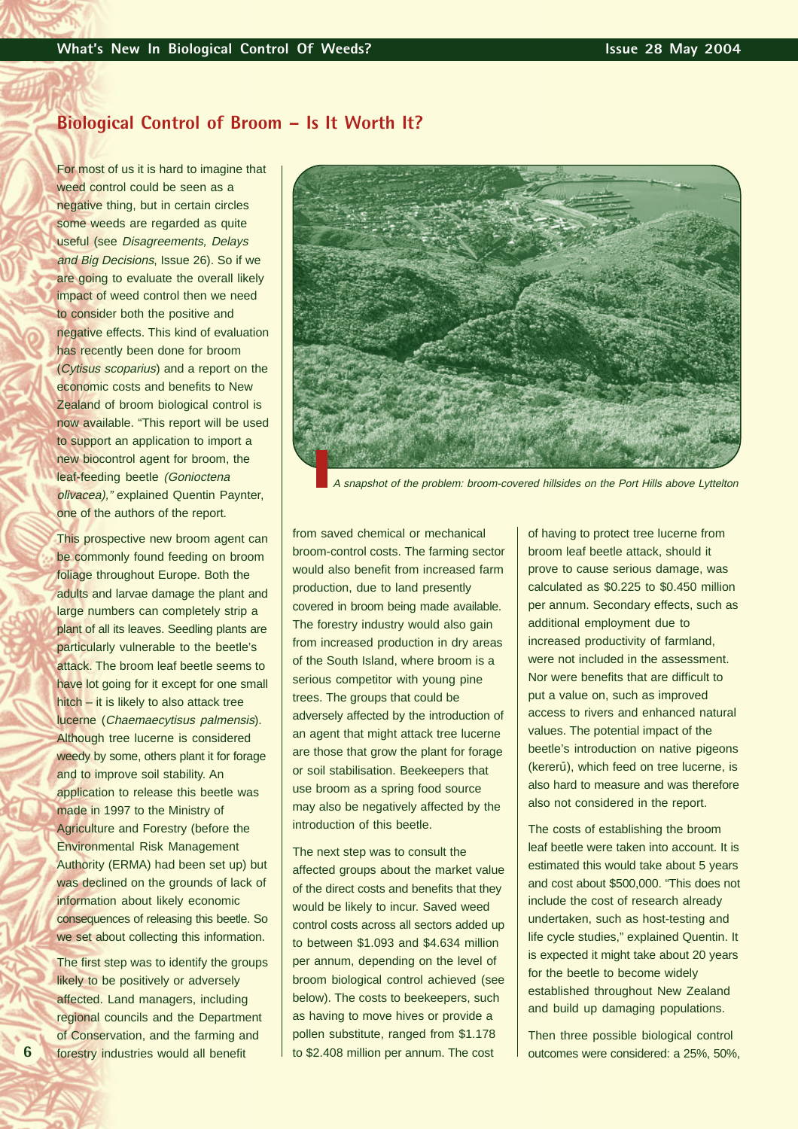## **Biological Control of Broom – Is It Worth It?**

For most of us it is hard to imagine that weed control could be seen as a negative thing, but in certain circles some weeds are regarded as quite useful (see Disagreements, Delays and Big Decisions, Issue 26). So if we are going to evaluate the overall likely impact of weed control then we need to consider both the positive and negative effects. This kind of evaluation has recently been done for broom (Cytisus scoparius) and a report on the economic costs and benefits to New Zealand of broom biological control is now available. "This report will be used to support an application to import a new biocontrol agent for broom, the leaf-feeding beetle (Gonioctena olivacea)," explained Quentin Paynter, one of the authors of the report.

This prospective new broom agent can be commonly found feeding on broom foliage throughout Europe. Both the adults and larvae damage the plant and large numbers can completely strip a plant of all its leaves. Seedling plants are particularly vulnerable to the beetle's attack. The broom leaf beetle seems to have lot going for it except for one small hitch – it is likely to also attack tree lucerne (Chaemaecytisus palmensis). Although tree lucerne is considered weedy by some, others plant it for forage and to improve soil stability. An application to release this beetle was made in 1997 to the Ministry of Agriculture and Forestry (before the Environmental Risk Management Authority (ERMA) had been set up) but was declined on the grounds of lack of information about likely economic consequences of releasing this beetle. So we set about collecting this information.

The first step was to identify the groups likely to be positively or adversely affected. Land managers, including regional councils and the Department of Conservation, and the farming and forestry industries would all benefit

**6**



A snapshot of the problem: broom-covered hillsides on the Port Hills above Lyttelton

from saved chemical or mechanical broom-control costs. The farming sector would also benefit from increased farm production, due to land presently covered in broom being made available. The forestry industry would also gain from increased production in dry areas of the South Island, where broom is a serious competitor with young pine trees. The groups that could be adversely affected by the introduction of an agent that might attack tree lucerne are those that grow the plant for forage or soil stabilisation. Beekeepers that use broom as a spring food source may also be negatively affected by the introduction of this beetle.

The next step was to consult the affected groups about the market value of the direct costs and benefits that they would be likely to incur. Saved weed control costs across all sectors added up to between \$1.093 and \$4.634 million per annum, depending on the level of broom biological control achieved (see below). The costs to beekeepers, such as having to move hives or provide a pollen substitute, ranged from \$1.178 to \$2.408 million per annum. The cost

of having to protect tree lucerne from broom leaf beetle attack, should it prove to cause serious damage, was calculated as \$0.225 to \$0.450 million per annum. Secondary effects, such as additional employment due to increased productivity of farmland, were not included in the assessment. Nor were benefits that are difficult to put a value on, such as improved access to rivers and enhanced natural values. The potential impact of the beetle's introduction on native pigeons (kererū), which feed on tree lucerne, is also hard to measure and was therefore also not considered in the report.

The costs of establishing the broom leaf beetle were taken into account. It is estimated this would take about 5 years and cost about \$500,000. "This does not include the cost of research already undertaken, such as host-testing and life cycle studies," explained Quentin. It is expected it might take about 20 years for the beetle to become widely established throughout New Zealand and build up damaging populations.

Then three possible biological control outcomes were considered: a 25%, 50%,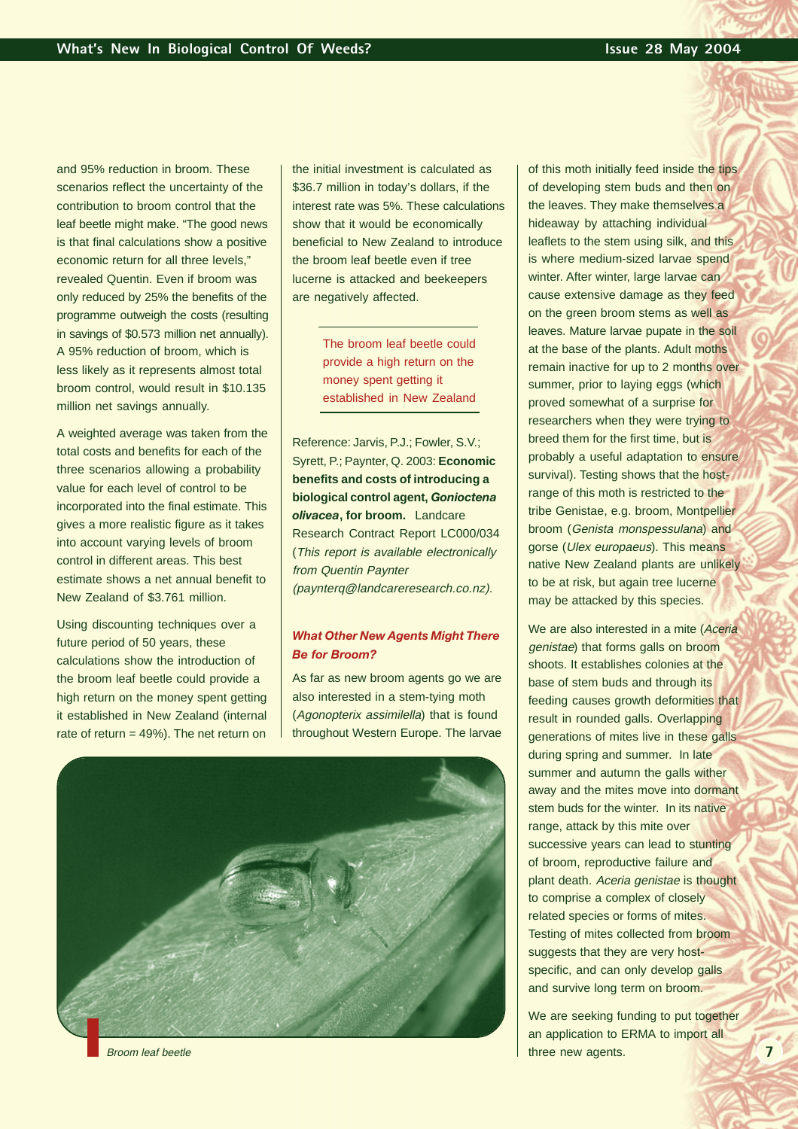and 95% reduction in broom. These scenarios reflect the uncertainty of the contribution to broom control that the leaf beetle might make. "The good news is that final calculations show a positive economic return for all three levels," revealed Quentin. Even if broom was only reduced by 25% the benefits of the programme outweigh the costs (resulting in savings of \$0.573 million net annually). A 95% reduction of broom, which is less likely as it represents almost total broom control, would result in \$10.135 million net savings annually.

A weighted average was taken from the total costs and benefits for each of the three scenarios allowing a probability value for each level of control to be incorporated into the final estimate. This gives a more realistic figure as it takes into account varying levels of broom control in different areas. This best estimate shows a net annual benefit to New Zealand of \$3.761 million.

Using discounting techniques over a future period of 50 years, these calculations show the introduction of the broom leaf beetle could provide a high return on the money spent getting it established in New Zealand (internal rate of return = 49%). The net return on the initial investment is calculated as \$36.7 million in today's dollars, if the interest rate was 5%. These calculations show that it would be economically beneficial to New Zealand to introduce the broom leaf beetle even if tree lucerne is attacked and beekeepers are negatively affected.

> The broom leaf beetle could provide a high return on the money spent getting it established in New Zealand

Reference: Jarvis, P.J.; Fowler, S.V.; Syrett, P.; Paynter, Q. 2003: **Economic benefits and costs of introducing a biological control agent,** *Gonioctena olivacea***, for broom.** Landcare Research Contract Report LC000/034 (This report is available electronically from Quentin Paynter (paynterq@landcareresearch.co.nz).

### *What Other New Agents Might There Be for Broom?*

As far as new broom agents go we are also interested in a stem-tying moth (Agonopterix assimilella) that is found throughout Western Europe. The larvae



of this moth initially feed inside the tips of developing stem buds and then on the leaves. They make themselves a hideaway by attaching individual leaflets to the stem using silk, and this is where medium-sized larvae spend winter. After winter, large larvae can cause extensive damage as they feed on the green broom stems as well as leaves. Mature larvae pupate in the soil at the base of the plants. Adult moths remain inactive for up to 2 months over summer, prior to laying eggs (which proved somewhat of a surprise for researchers when they were trying to breed them for the first time, but is probably a useful adaptation to ensure survival). Testing shows that the hostrange of this moth is restricted to the tribe Genistae, e.g. broom, Montpellier broom (Genista monspessulana) and gorse (Ulex europaeus). This means native New Zealand plants are unlikely to be at risk, but again tree lucerne may be attacked by this species.

We are also interested in a mite (Aceria genistae) that forms galls on broom shoots. It establishes colonies at the base of stem buds and through its feeding causes growth deformities that result in rounded galls. Overlapping generations of mites live in these galls during spring and summer. In late summer and autumn the galls wither away and the mites move into dormant stem buds for the winter. In its native range, attack by this mite over successive years can lead to stunting of broom, reproductive failure and plant death. Aceria genistae is thought to comprise a complex of closely related species or forms of mites. Testing of mites collected from broom suggests that they are very hostspecific, and can only develop galls and survive long term on broom.

We are seeking funding to put together an application to ERMA to import all Broom leaf beetle three new agents. The three new agents.

**7**